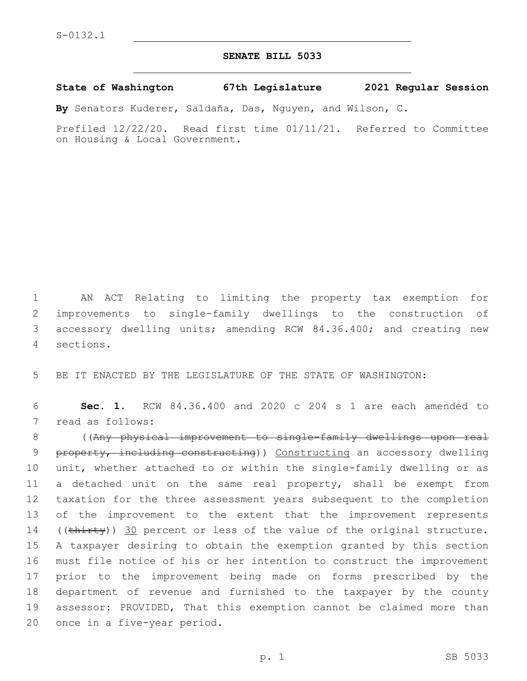## **SENATE BILL 5033**

**State of Washington 67th Legislature 2021 Regular Session**

**By** Senators Kuderer, Saldaña, Das, Nguyen, and Wilson, C.

Prefiled 12/22/20. Read first time 01/11/21. Referred to Committee on Housing & Local Government.

 AN ACT Relating to limiting the property tax exemption for improvements to single-family dwellings to the construction of accessory dwelling units; amending RCW 84.36.400; and creating new sections.4

5 BE IT ENACTED BY THE LEGISLATURE OF THE STATE OF WASHINGTON:

6 **Sec. 1.** RCW 84.36.400 and 2020 c 204 s 1 are each amended to 7 read as follows:

 ((Any physical improvement to single-family dwellings upon real 9 property, including constructing)) Constructing an accessory dwelling unit, whether attached to or within the single-family dwelling or as a detached unit on the same real property, shall be exempt from taxation for the three assessment years subsequent to the completion 13 of the improvement to the extent that the improvement represents 14 ((thirty)) 30 percent or less of the value of the original structure. A taxpayer desiring to obtain the exemption granted by this section must file notice of his or her intention to construct the improvement prior to the improvement being made on forms prescribed by the department of revenue and furnished to the taxpayer by the county assessor: PROVIDED, That this exemption cannot be claimed more than 20 once in a five-year period.